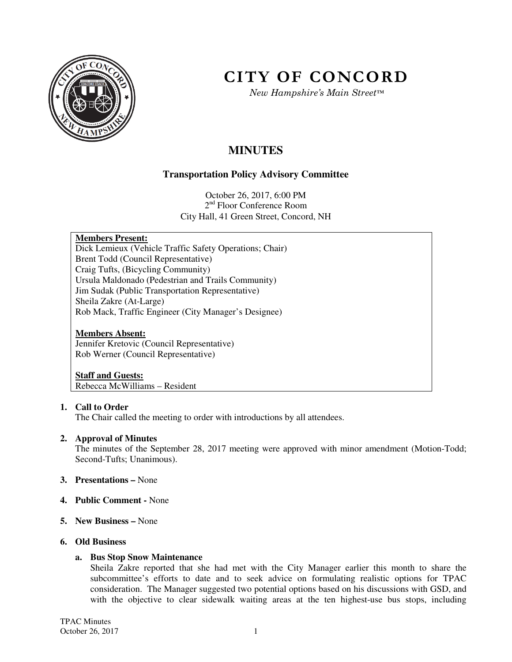

# **CITY OF CONCORD**

*New Hampshire's Main Street™*

# **MINUTES**

### **Transportation Policy Advisory Committee**

October 26, 2017, 6:00 PM 2<sup>nd</sup> Floor Conference Room City Hall, 41 Green Street, Concord, NH

#### **Members Present:**

Dick Lemieux (Vehicle Traffic Safety Operations; Chair) Brent Todd (Council Representative) Craig Tufts, (Bicycling Community) Ursula Maldonado (Pedestrian and Trails Community) Jim Sudak (Public Transportation Representative) Sheila Zakre (At-Large) Rob Mack, Traffic Engineer (City Manager's Designee)

#### **Members Absent:**

Jennifer Kretovic (Council Representative) Rob Werner (Council Representative)

## **Staff and Guests:**

Rebecca McWilliams – Resident

#### **1. Call to Order**

The Chair called the meeting to order with introductions by all attendees.

#### **2. Approval of Minutes**

The minutes of the September 28, 2017 meeting were approved with minor amendment (Motion-Todd; Second-Tufts; Unanimous).

- **3. Presentations** None
- **4. Public Comment** None
- **5. New Business** None

#### **6. Old Business**

#### **a. Bus Stop Snow Maintenance**

Sheila Zakre reported that she had met with the City Manager earlier this month to share the subcommittee's efforts to date and to seek advice on formulating realistic options for TPAC consideration. The Manager suggested two potential options based on his discussions with GSD, and with the objective to clear sidewalk waiting areas at the ten highest-use bus stops, including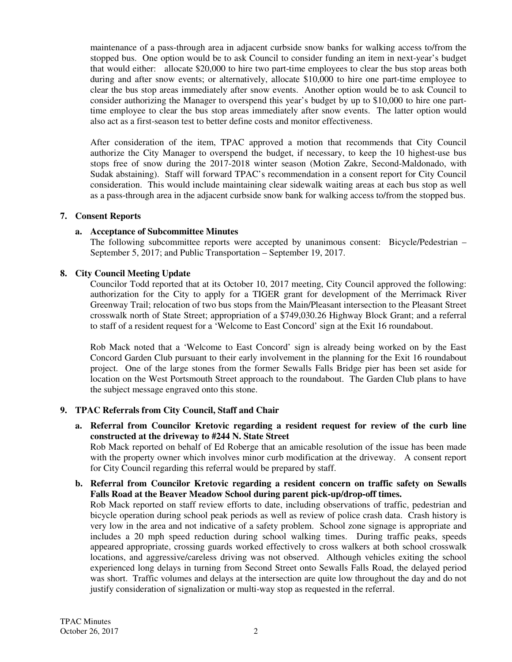maintenance of a pass-through area in adjacent curbside snow banks for walking access to/from the stopped bus. One option would be to ask Council to consider funding an item in next-year's budget that would either: allocate \$20,000 to hire two part-time employees to clear the bus stop areas both during and after snow events; or alternatively, allocate \$10,000 to hire one part-time employee to clear the bus stop areas immediately after snow events. Another option would be to ask Council to consider authorizing the Manager to overspend this year's budget by up to \$10,000 to hire one parttime employee to clear the bus stop areas immediately after snow events. The latter option would also act as a first-season test to better define costs and monitor effectiveness.

After consideration of the item, TPAC approved a motion that recommends that City Council authorize the City Manager to overspend the budget, if necessary, to keep the 10 highest-use bus stops free of snow during the 2017-2018 winter season (Motion Zakre, Second-Maldonado, with Sudak abstaining). Staff will forward TPAC's recommendation in a consent report for City Council consideration. This would include maintaining clear sidewalk waiting areas at each bus stop as well as a pass-through area in the adjacent curbside snow bank for walking access to/from the stopped bus.

#### **7. Consent Reports**

#### **a. Acceptance of Subcommittee Minutes**

The following subcommittee reports were accepted by unanimous consent: Bicycle/Pedestrian – September 5, 2017; and Public Transportation – September 19, 2017.

#### **8. City Council Meeting Update**

Councilor Todd reported that at its October 10, 2017 meeting, City Council approved the following: authorization for the City to apply for a TIGER grant for development of the Merrimack River Greenway Trail; relocation of two bus stops from the Main/Pleasant intersection to the Pleasant Street crosswalk north of State Street; appropriation of a \$749,030.26 Highway Block Grant; and a referral to staff of a resident request for a 'Welcome to East Concord' sign at the Exit 16 roundabout.

Rob Mack noted that a 'Welcome to East Concord' sign is already being worked on by the East Concord Garden Club pursuant to their early involvement in the planning for the Exit 16 roundabout project. One of the large stones from the former Sewalls Falls Bridge pier has been set aside for location on the West Portsmouth Street approach to the roundabout. The Garden Club plans to have the subject message engraved onto this stone.

#### **9. TPAC Referrals from City Council, Staff and Chair**

**a. Referral from Councilor Kretovic regarding a resident request for review of the curb line constructed at the driveway to #244 N. State Street**

Rob Mack reported on behalf of Ed Roberge that an amicable resolution of the issue has been made with the property owner which involves minor curb modification at the driveway. A consent report for City Council regarding this referral would be prepared by staff.

#### **b. Referral from Councilor Kretovic regarding a resident concern on traffic safety on Sewalls Falls Road at the Beaver Meadow School during parent pick-up/drop-off times.**

Rob Mack reported on staff review efforts to date, including observations of traffic, pedestrian and bicycle operation during school peak periods as well as review of police crash data. Crash history is very low in the area and not indicative of a safety problem. School zone signage is appropriate and includes a 20 mph speed reduction during school walking times. During traffic peaks, speeds appeared appropriate, crossing guards worked effectively to cross walkers at both school crosswalk locations, and aggressive/careless driving was not observed. Although vehicles exiting the school experienced long delays in turning from Second Street onto Sewalls Falls Road, the delayed period was short. Traffic volumes and delays at the intersection are quite low throughout the day and do not justify consideration of signalization or multi-way stop as requested in the referral.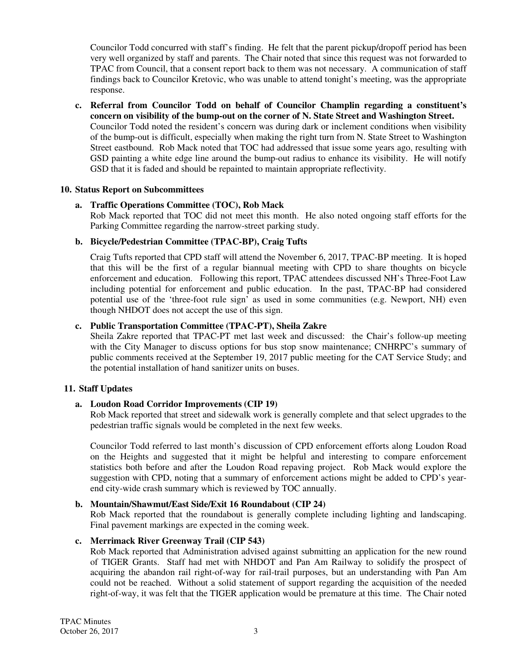Councilor Todd concurred with staff's finding. He felt that the parent pickup/dropoff period has been very well organized by staff and parents. The Chair noted that since this request was not forwarded to TPAC from Council, that a consent report back to them was not necessary. A communication of staff findings back to Councilor Kretovic, who was unable to attend tonight's meeting, was the appropriate response.

**c. Referral from Councilor Todd on behalf of Councilor Champlin regarding a constituent's concern on visibility of the bump-out on the corner of N. State Street and Washington Street.**  Councilor Todd noted the resident's concern was during dark or inclement conditions when visibility of the bump-out is difficult, especially when making the right turn from N. State Street to Washington Street eastbound. Rob Mack noted that TOC had addressed that issue some years ago, resulting with GSD painting a white edge line around the bump-out radius to enhance its visibility. He will notify GSD that it is faded and should be repainted to maintain appropriate reflectivity.

#### **10. Status Report on Subcommittees**

#### **a. Traffic Operations Committee (TOC), Rob Mack**

Rob Mack reported that TOC did not meet this month. He also noted ongoing staff efforts for the Parking Committee regarding the narrow-street parking study.

#### **b. Bicycle/Pedestrian Committee (TPAC-BP), Craig Tufts**

Craig Tufts reported that CPD staff will attend the November 6, 2017, TPAC-BP meeting. It is hoped that this will be the first of a regular biannual meeting with CPD to share thoughts on bicycle enforcement and education. Following this report, TPAC attendees discussed NH's Three-Foot Law including potential for enforcement and public education. In the past, TPAC-BP had considered potential use of the 'three-foot rule sign' as used in some communities (e.g. Newport, NH) even though NHDOT does not accept the use of this sign.

#### **c. Public Transportation Committee (TPAC-PT), Sheila Zakre**

Sheila Zakre reported that TPAC-PT met last week and discussed: the Chair's follow-up meeting with the City Manager to discuss options for bus stop snow maintenance; CNHRPC's summary of public comments received at the September 19, 2017 public meeting for the CAT Service Study; and the potential installation of hand sanitizer units on buses.

#### **11. Staff Updates**

#### **a. Loudon Road Corridor Improvements (CIP 19)**

Rob Mack reported that street and sidewalk work is generally complete and that select upgrades to the pedestrian traffic signals would be completed in the next few weeks.

Councilor Todd referred to last month's discussion of CPD enforcement efforts along Loudon Road on the Heights and suggested that it might be helpful and interesting to compare enforcement statistics both before and after the Loudon Road repaving project. Rob Mack would explore the suggestion with CPD, noting that a summary of enforcement actions might be added to CPD's yearend city-wide crash summary which is reviewed by TOC annually.

#### **b. Mountain/Shawmut/East Side/Exit 16 Roundabout (CIP 24)**

Rob Mack reported that the roundabout is generally complete including lighting and landscaping. Final pavement markings are expected in the coming week.

#### **c. Merrimack River Greenway Trail (CIP 543)**

Rob Mack reported that Administration advised against submitting an application for the new round of TIGER Grants. Staff had met with NHDOT and Pan Am Railway to solidify the prospect of acquiring the abandon rail right-of-way for rail-trail purposes, but an understanding with Pan Am could not be reached. Without a solid statement of support regarding the acquisition of the needed right-of-way, it was felt that the TIGER application would be premature at this time. The Chair noted